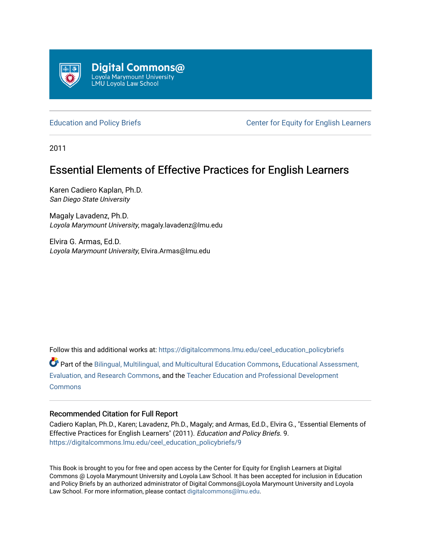

[Education and Policy Briefs](https://digitalcommons.lmu.edu/ceel_education_policybriefs) **CENTE:** Center for Equity for English Learners

2011

# Essential Elements of Effective Practices for English Learners

Karen Cadiero Kaplan, Ph.D. San Diego State University

Magaly Lavadenz, Ph.D. Loyola Marymount University, magaly.lavadenz@lmu.edu

Elvira G. Armas, Ed.D. Loyola Marymount University, Elvira.Armas@lmu.edu

Follow this and additional works at: [https://digitalcommons.lmu.edu/ceel\\_education\\_policybriefs](https://digitalcommons.lmu.edu/ceel_education_policybriefs?utm_source=digitalcommons.lmu.edu%2Fceel_education_policybriefs%2F9&utm_medium=PDF&utm_campaign=PDFCoverPages) 

Part of the [Bilingual, Multilingual, and Multicultural Education Commons,](http://network.bepress.com/hgg/discipline/785?utm_source=digitalcommons.lmu.edu%2Fceel_education_policybriefs%2F9&utm_medium=PDF&utm_campaign=PDFCoverPages) [Educational Assessment,](http://network.bepress.com/hgg/discipline/796?utm_source=digitalcommons.lmu.edu%2Fceel_education_policybriefs%2F9&utm_medium=PDF&utm_campaign=PDFCoverPages)  [Evaluation, and Research Commons,](http://network.bepress.com/hgg/discipline/796?utm_source=digitalcommons.lmu.edu%2Fceel_education_policybriefs%2F9&utm_medium=PDF&utm_campaign=PDFCoverPages) and the [Teacher Education and Professional Development](http://network.bepress.com/hgg/discipline/803?utm_source=digitalcommons.lmu.edu%2Fceel_education_policybriefs%2F9&utm_medium=PDF&utm_campaign=PDFCoverPages) **[Commons](http://network.bepress.com/hgg/discipline/803?utm_source=digitalcommons.lmu.edu%2Fceel_education_policybriefs%2F9&utm_medium=PDF&utm_campaign=PDFCoverPages)** 

# Recommended Citation for Full Report

Cadiero Kaplan, Ph.D., Karen; Lavadenz, Ph.D., Magaly; and Armas, Ed.D., Elvira G., "Essential Elements of Effective Practices for English Learners" (2011). Education and Policy Briefs. 9. [https://digitalcommons.lmu.edu/ceel\\_education\\_policybriefs/9](https://digitalcommons.lmu.edu/ceel_education_policybriefs/9?utm_source=digitalcommons.lmu.edu%2Fceel_education_policybriefs%2F9&utm_medium=PDF&utm_campaign=PDFCoverPages) 

This Book is brought to you for free and open access by the Center for Equity for English Learners at Digital Commons @ Loyola Marymount University and Loyola Law School. It has been accepted for inclusion in Education and Policy Briefs by an authorized administrator of Digital Commons@Loyola Marymount University and Loyola Law School. For more information, please contact [digitalcommons@lmu.edu.](mailto:digitalcommons@lmu.edu)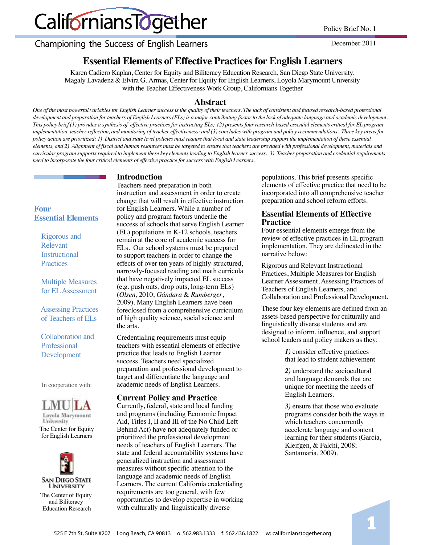# CaliforniansTogether

Championing the Success of English Learners

December 2011

# **Essential Elements of Effective Practices for English Learners**

Karen Cadiero Kaplan, Center for Equity and Biliteracy Education Research, San Diego State University. Magaly Lavadenz & Elvira G. Armas, Center for Equity for English Learners, Loyola Marymount University with the Teacher Effectiveness Work Group, Californians Together

# **Abstract**

*One of the most powerful variables for English Learner success is the quality of their teachers. The lack of consistent and focused research-based professional development and preparation for teachers of English Learners (ELs) is a major contributing factor to the lack of adequate language and academic development. This policy brief (1) provides a synthesis of effective practices for instructing ELs; (2) presents four research-based essential elements critical for EL program implementation, teacher reflection, and monitoring of teacher effectiveness; and (3) concludes with program and policy recommendations. Three key areas for policy action are prioritized: 1) District and state level policies must require that local and state leadership support the implementation of these essential elements, and 2) Alignment of fiscal and human resources must be targeted to ensure that teachers are provided with professional development, materials and curricular program supports required to implement these key elements leading to English learner success. 3) Teacher preparation and credential requirements need to incorporate the four critical elements of effective practice for success with English Learners.* 

# **Introduction**

**Four Essential Elements** 

> Rigorous and Relevant Instructional **Practices**

 Multiple Measures for EL Assessment

 Assessing Practices of Teachers of ELs

 Collaboration and Professional Development

In cooperation with:





The Center for Equity for English Learners



Teachers need preparation in both instruction and assessment in order to create change that will result in effective instruction for English Learners. While a number of policy and program factors underlie the success of schools that serve English Learner (EL) populations in K-12 schools, teachers remain at the core of academic success for ELs. Our school systems must be prepared to support teachers in order to change the effects of over ten years of highly-structured, narrowly-focused reading and math curricula that have negatively impacted EL success (e.g. push outs, drop outs, long-term ELs) (*Olsen*, 2010; *Gándara* & *Rumberger*, 2009). Many English Learners have been foreclosed from a comprehensive curriculum of high quality science, social science and the arts.

Credentialing requirements must equip teachers with essential elements of effective practice that leads to English Learner success. Teachers need specialized preparation and professional development to target and differentiate the language and academic needs of English Learners.

## **Current Policy and Practice**

Currently, federal, state and local funding and programs (including Economic Impact Aid, Titles I, II and III of the No Child Left Behind Act) have not adequately funded or prioritized the professional development needs of teachers of English Learners. The state and federal accountability systems have generalized instruction and assessment measures without specific attention to the language and academic needs of English Learners. The current California credentialing requirements are too general, with few opportunities to develop expertise in working with culturally and linguistically diverse

populations. This brief presents specific elements of effective practice that need to be incorporated into all comprehensive teacher preparation and school reform efforts.

## **Essential Elements of Effective Practice**

Four essential elements emerge from the review of effective practices in EL program implementation. They are delineated in the narrative below:

 $Rigorous and Relevant Instructional$ Practices, Multiple Measures for English Learner Assessment, Assessing Practices of Teachers of English Learners, and Collaboration and Professional Development.

These four key elements are defined from an assets-based perspective for culturally and linguistically diverse students and are designed to inform, influence, and support school leaders and policy makers as they:

> *1*) consider effective practices that lead to student achievement

2) understand the sociocultural and language demands that are unique for meeting the needs of English Learners.

 *3)* ensure that those who evaluate programs consider both the ways in which teachers concurrently accelerate language and content learning for their students (Garcia, Kleifgen, & Falchi, 2008; Santamaria, 2009).

1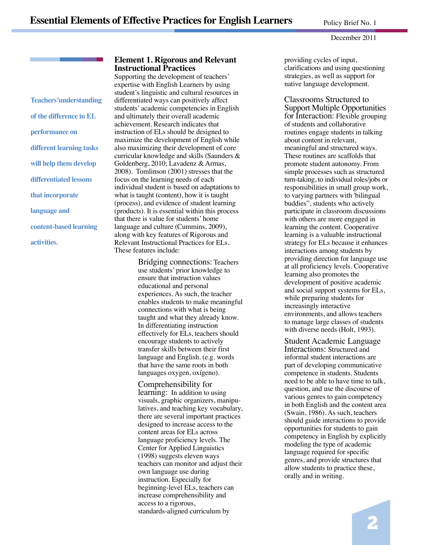#### December 2011

Teachers'understanding of the difference in EL **performance** on different learning tasks **will help them develop** differentiated lessons **that incorporate** language and **content-based learning** 

 $\overline{\text{activities.}}$ 

# **Element 1. Rigorous and Relevant Instructional Practices**

Supporting the development of teachers' expertise with English Learners by using student's linguistic and cultural resources in differentiated ways can positively affect students' academic competencies in English and ultimately their overall academic achievement. Research indicates that instruction of ELs should be designed to maximize the development of English while also maximizing their development of core curricular knowledge and skills (Saunders & Goldenberg, 2010; Lavadenz & Armas, 2008). Tomlinson (2001) stresses that the focus on the learning needs of each individual student is based on adaptations to what is taught (content), how it is taught (process), and evidence of student learning (products). It is essential within this process that there is value for students' home language and culture (Cummins, 2009), along with key features of Rigorous and Relevant Instructional Practices for ELs. These features include:

> Bridging connections: Teachers use students' prior knowledge to ensure that instruction values educational and personal experiences. As such, the teacher enables students to make meaningful connections with what is being taught and what they already know. In differentiating instruction effectively for ELs, teachers should encourage students to actively transfer skills between their first language and English. (e.g. words that have the same roots in both languages oxygen, oxígeno).

> Comprehensibility for learning: In addition to using visuals, graphic organizers, manipu latives, and teaching key vocabulary, there are several important practices designed to increase access to the content areas for ELs across language proficiency levels. The Center for Applied Linguistics (1998) suggests eleven ways teachers can monitor and adjust their own language use during instruction. Especially for beginning-level ELs, teachers can increase comprehensibility and access to a rigorous, standards-aligned curriculum by

 providing cycles of input, clarifications and using questioning strategies, as well as support for native language development.

 Classrooms Structured to Support Multiple Opportunities for Interaction: Flexible grouping of students and collaborative routines engage students in talking about content in relevant, meaningful and structured ways. These routines are scaffolds that promote student autonomy. From simple processes such as structured turn-taking, to individual roles/jobs or responsibilities in small group work, to varying partners with 'bilingual buddies", students who actively participate in classroom discussions with others are more engaged in learning the content. Cooperative learning is a valuable instructional strategy for ELs because it enhances interactions among students by providing direction for language use at all proficiency levels. Cooperative learning also promotes the development of positive academic and social support systems for ELs, while preparing students for increasingly interactive environments, and allows teachers to manage large classes of students with diverse needs (Holt, 1993).

 Student Academic Language Interactions: Structured and informal student interactions are part of developing communicative competence in students. Students need to be able to have time to talk, question, and use the discourse of various genres to gain competency in both English and the content area (Swain, 1986). As such, teachers should guide interactions to provide opportunities for students to gain competency in English by explicitly modeling the type of academic language required for specific genres, and provide structures that allow students to practice these, orally and in writing.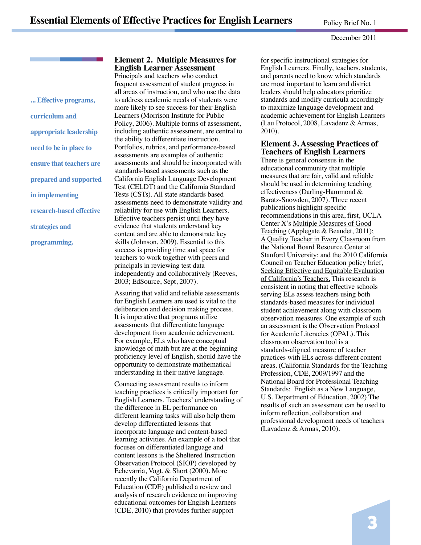#### December 2011

... Effective programs, curriculum and **appropriate leadership need to be in place to ensure that teachers are prepared and supported in implementing research-based effective** strategies and programming.

# **Element 2. Multiple Measures for English Learner Assessment**

Principals and teachers who conduct frequent assessment of student progress in all areas of instruction, and who use the data to address academic needs of students were more likely to see success for their English Learners (Morrison Institute for Public Policy, 2006). Multiple forms of assessment, including authentic assessment, are central to the ability to differentiate instruction. Portfolios, rubrics, and performance-based assessments are examples of authentic assessments and should be incorporated with standards-based assessments such as the California English Language Development Test (CELDT) and the California Standard Tests (CSTs). All state standards based assessments need to demonstrate validity and reliability for use with English Learners. Effective teachers persist until they have evidence that students understand key content and are able to demonstrate key skills (Johnson, 2009). Essential to this success is providing time and space for teachers to work together with peers and principals in reviewing test data independently and collaboratively (Reeves, 2003; EdSource, Sept, 2007).

Assuring that valid and reliable assessments for English Learners are used is vital to the deliberation and decision making process. It is imperative that programs utilize assessments that differentiate language development from academic achievement. For example, ELs who have conceptual knowledge of math but are at the beginning proficiency level of English, should have the opportunity to demonstrate mathematical understanding in their native language.

Connecting assessment results to inform teaching practices is critically important for English Learners. Teachers' understanding of the difference in EL performance on different learning tasks will also help them develop differentiated lessons that incorporate language and content-based learning activities. An example of a tool that focuses on differentiated language and content lessons is the Sheltered Instruction Observation Protocol (SIOP) developed by Echevarria, Vogt, & Short (2000). More recently the California Department of Education (CDE) published a review and analysis of research evidence on improving educational outcomes for English Learners (CDE, 2010) that provides further support

for specific instructional strategies for English Learners. Finally, teachers, students, and parents need to know which standards are most important to learn and district leaders should help educators prioritize standards and modify curricula accordingly to maximize language development and academic achievement for English Learners (Lau Protocol, 2008, Lavadenz & Armas, 2010).

# **Element 3. Assessing Practices of Teachers of English Learners**

There is general consensus in the educational community that multiple measures that are fair, valid and reliable should be used in determining teaching effectiveness (Darling-Hammond & Baratz-Snowden, 2007). Three recent publications highlight specific recommendations in this area, first, UCLA Center X's Multiple Measures of Good Teaching (Applegate & Beaudet, 2011); A Quality Teacher in Every Classroom from the National Board Resource Center at Stanford University; and the 2010 California Council on Teacher Education policy brief, Seeking Effective and Equitable Evaluation of California's Teachers. This research is consistent in noting that effective schools serving ELs assess teachers using both standards-based measures for individual student achievement along with classroom observation measures. One example of such an assessment is the Observation Protocol for Academic Literacies (OPAL). This classroom observation tool is a standards-aligned measure of teacher practices with ELs across different content areas. (California Standards for the Teaching Profession, CDE, 2009/1997 and the National Board for Professional Teaching Standards: English as a New Language, U.S. Department of Education, 2002) The results of such an assessment can be used to inform reflection, collaboration and professional development needs of teachers (Lavadenz & Armas, 2010).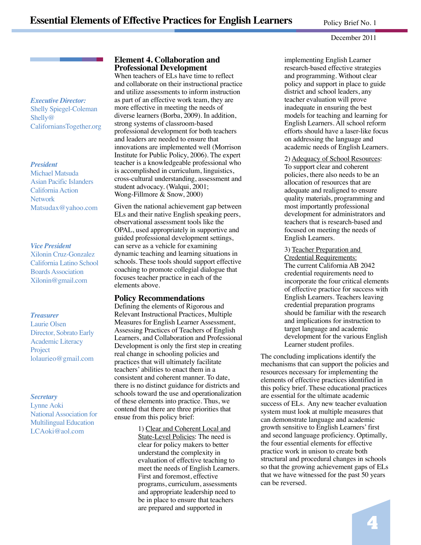#### December 2011

Executive Director: Shelly Spiegel-Coleman Shelly@ CaliforniansTogether.org

#### *President*

Michael Matsuda Asian Pacific Islanders California Action Network Matsudax@yahoo.com

#### $Vice$  *President*

Xilonin Cruz-Gonzalez California Latino School Boards Association Xilonin@gmail.com

#### **Treasurer**

Laurie Olsen Director, Sobrato Early Academic Literacy Project lolaurieo@gmail.com

#### *Secretary*

Lynne Aoki National Association for **Multilingual Education** LCAoki@aol.com

# **Element 4. Collaboration and Professional Development**

When teachers of ELs have time to reflect and collaborate on their instructional practice and utilize assessments to inform instruction as part of an effective work team, they are more effective in meeting the needs of diverse learners (Borba, 2009). In addition, strong systems of classroom-based professional development for both teachers and leaders are needed to ensure that innovations are implemented well (Morrison Institute for Public Policy, 2006). The expert teacher is a knowledgeable professional who is accomplished in curriculum, linguistics, cross-cultural understanding, assessment and student advocacy. (Walqui, 2001; Wong-Fillmore  $&$  Snow, 2000)

Given the national achievement gap between ELs and their native English speaking peers, observational assessment tools like the OPAL, used appropriately in supportive and guided professional development settings, can serve as a vehicle for examining dynamic teaching and learning situations in schools. These tools should support effective coaching to promote collegial dialogue that focuses teacher practice in each of the elements above.

#### **Policy Recommendations**

Defining the elements of Rigorous and  $Relevant Instructional Practices, Multiple$ Measures for English Learner Assessment, Assessing Practices of Teachers of English Learners, and Collaboration and Professional Development is only the first step in creating real change in schooling policies and practices that will ultimately facilitate teachers' abilities to enact them in a consistent and coherent manner. To date, there is no distinct guidance for districts and schools toward the use and operationalization of these elements into practice. Thus, we contend that there are three priorities that ensue from this policy brief:

> 1) Clear and Coherent Local and State-Level Policies: The need is elear for policy makers to better understand the complexity in evaluation of effective teaching to meet the needs of English Learners. First and foremost, effective programs, curriculum, assessments and appropriate leadership need to be in place to ensure that teachers are prepared and supported in

implementing English Learner research-based effective strategies and programming. Without clear policy and support in place to guide district and school leaders, any teacher evaluation will prove inadequate in ensuring the best models for teaching and learning for English Learners. All school reform efforts should have a laser-like focus on addressing the language and academic needs of English Learners.

2) Adequacy of School Resources: To support clear and coherent policies, there also needs to be an allocation of resources that are adequate and realigned to ensure quality materials, programming and most importantly professional development for administrators and teachers that is research-based and focused on meeting the needs of English Learners.

#### 3) Teacher Preparation and

Credential Requirements: The current California AB 2042 credential requirements need to incorporate the four critical elements of effective practice for success with English Learners. Teachers leaving credential preparation programs should be familiar with the research and implications for instruction to target language and academic development for the various English Learner student profiles.

The concluding implications identify the mechanisms that can support the policies and resources necessary for implementing the elements of effective practices identified in this policy brief. These educational practices are essential for the ultimate academic success of ELs. Any new teacher evaluation system must look at multiple measures that can demonstrate language and academic growth sensitive to English Learners' first and second language proficiency. Optimally, the four essential elements for effective practice work in unison to create both structural and procedural changes in schools so that the growing achievement gaps of ELs that we have witnessed for the past 50 years can be reversed.